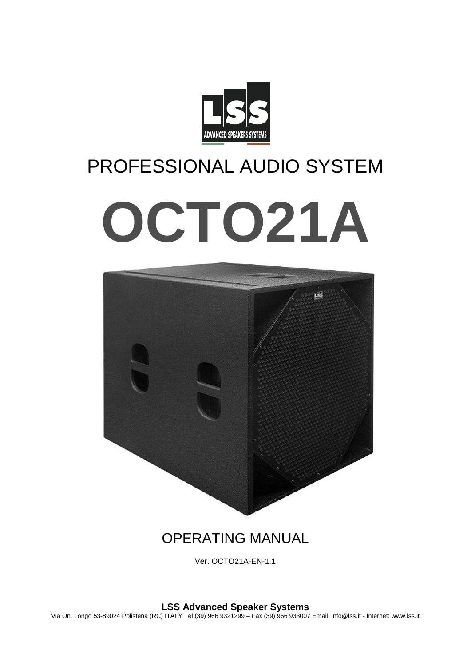

# PROFESSIONAL AUDIO SYSTEM **OCTO21A**



# OPERATING MANUAL

Ver. OCTO21A-EN-1.1

**LSS Advanced Speaker Systems**

Via On. Longo 53-89024 Polistena (RC) ITALY Tel (39) 966 9321299 – Fax (39) 966 933007 Email: info@lss.it - Internet: www.lss.it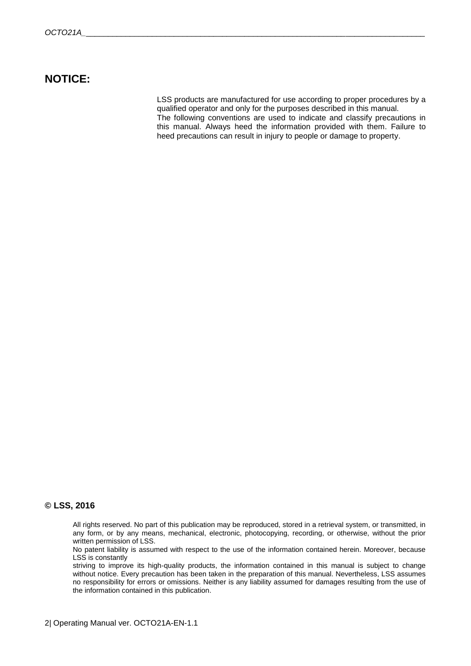## **NOTICE:**

LSS products are manufactured for use according to proper procedures by a qualified operator and only for the purposes described in this manual. The following conventions are used to indicate and classify precautions in this manual. Always heed the information provided with them. Failure to heed precautions can result in injury to people or damage to property.

#### **© LSS, 2016**

All rights reserved. No part of this publication may be reproduced, stored in a retrieval system, or transmitted, in any form, or by any means, mechanical, electronic, photocopying, recording, or otherwise, without the prior written permission of LSS.

No patent liability is assumed with respect to the use of the information contained herein. Moreover, because LSS is constantly

striving to improve its high-quality products, the information contained in this manual is subject to change without notice. Every precaution has been taken in the preparation of this manual. Nevertheless, LSS assumes no responsibility for errors or omissions. Neither is any liability assumed for damages resulting from the use of the information contained in this publication.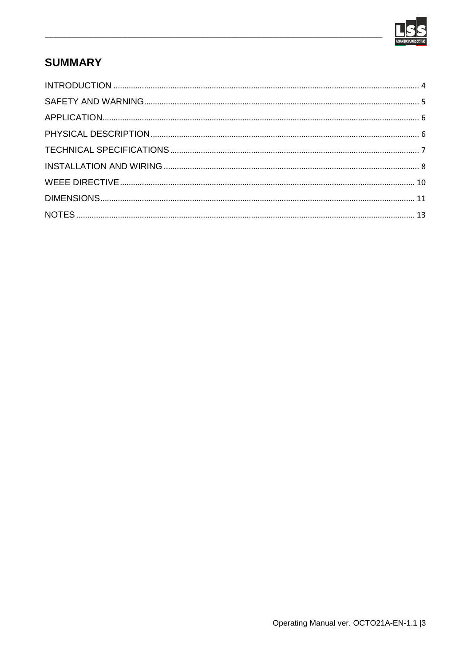

# **SUMMARY**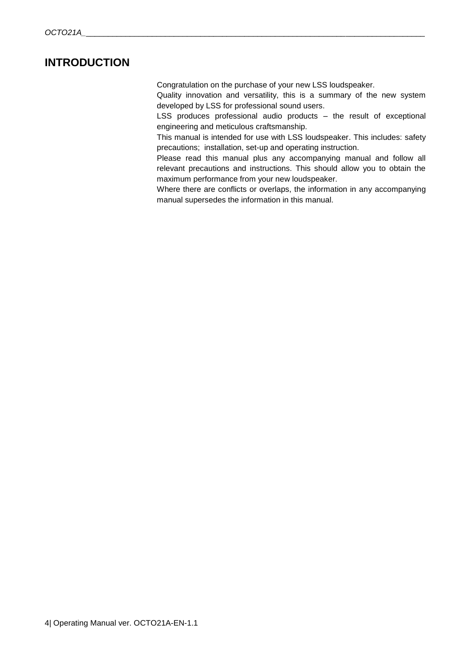## <span id="page-3-0"></span>**INTRODUCTION**

Congratulation on the purchase of your new LSS loudspeaker.

Quality innovation and versatility, this is a summary of the new system developed by LSS for professional sound users.

LSS produces professional audio products – the result of exceptional engineering and meticulous craftsmanship.

This manual is intended for use with LSS loudspeaker. This includes: safety precautions; installation, set-up and operating instruction.

Please read this manual plus any accompanying manual and follow all relevant precautions and instructions. This should allow you to obtain the maximum performance from your new loudspeaker.

Where there are conflicts or overlaps, the information in any accompanying manual supersedes the information in this manual.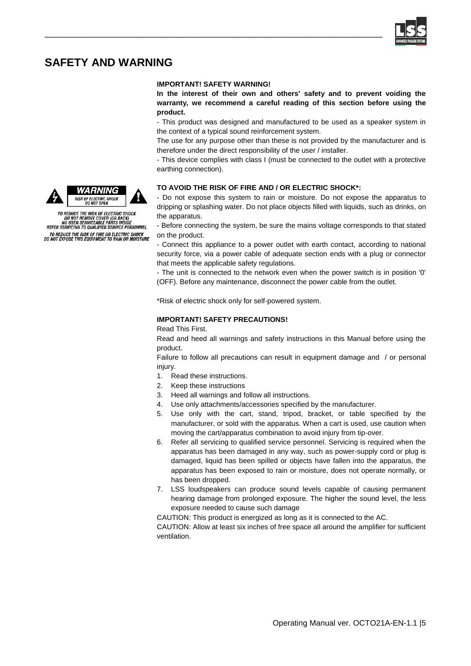

## <span id="page-4-0"></span>**SAFETY AND WARNING**

#### **IMPORTANT! SAFETY WARNING!**

\_\_\_\_\_\_\_\_\_\_\_\_\_\_\_\_\_\_\_\_\_\_\_\_\_\_\_\_\_\_\_\_\_\_\_\_\_\_\_\_\_\_\_\_\_\_\_\_\_\_\_\_\_\_\_\_\_\_\_\_\_\_\_\_\_\_\_\_\_\_\_\_\_\_\_\_\_\_

**In the interest of their own and others' safety and to prevent voiding the warranty, we recommend a careful reading of this section before using the product.**

- This product was designed and manufactured to be used as a speaker system in the context of a typical sound reinforcement system.

The use for any purpose other than these is not provided by the manufacturer and is therefore under the direct responsibility of the user / installer.

- This device complies with class I (must be connected to the outlet with a protective earthing connection).

### **TO AVOID THE RISK OF FIRE AND / OR ELECTRIC SHOCK\*:**

- Do not expose this system to rain or moisture. Do not expose the apparatus to dripping or splashing water. Do not place objects filled with liquids, such as drinks, on the apparatus.

- Before connecting the system, be sure the mains voltage corresponds to that stated on the product.

- Connect this appliance to a power outlet with earth contact, according to national security force, via a power cable of adequate section ends with a plug or connector that meets the applicable safety regulations.

- The unit is connected to the network even when the power switch is in position '0' (OFF). Before any maintenance, disconnect the power cable from the outlet.

\*Risk of electric shock only for self-powered system.

#### **IMPORTANT! SAFETY PRECAUTIONS!**

Read This First.

Read and heed all warnings and safety instructions in this Manual before using the product.

Failure to follow all precautions can result in equipment damage and / or personal injury.

- 1. Read these instructions.
- 2. Keep these instructions
- 3. Heed all warnings and follow all instructions.
- 4. Use only attachments/accessories specified by the manufacturer.
- 5. Use only with the cart, stand, tripod, bracket, or table specified by the manufacturer, or sold with the apparatus. When a cart is used, use caution when moving the cart/apparatus combination to avoid injury from tip-over.
- 6. Refer all servicing to qualified service personnel. Servicing is required when the apparatus has been damaged in any way, such as power-supply cord or plug is damaged, liquid has been spilled or objects have fallen into the apparatus, the apparatus has been exposed to rain or moisture, does not operate normally, or has been dropped.
- 7. LSS loudspeakers can produce sound levels capable of causing permanent hearing damage from prolonged exposure. The higher the sound level, the less exposure needed to cause such damage

CAUTION: This product is energized as long as it is connected to the AC.

CAUTION: Allow at least six inches of free space all around the amplifier for sufficient ventilation.





TO REDUCE THE RISK OF ELECTRIC SHOCK<br>DO NOT REMOVE COVER (OR BACK)<br>NO USER SERVICEABLE PARTS INSIDE<br>REFER SERVICING TO QUALIFIED SERVICE PERSONNEL TO REDUCE THE RISK OF FIRE OR ELECTRIC SHOCK<br>DO NOT EXPOSE THIS EQUIPMENT TO RAIN OR MOISTURE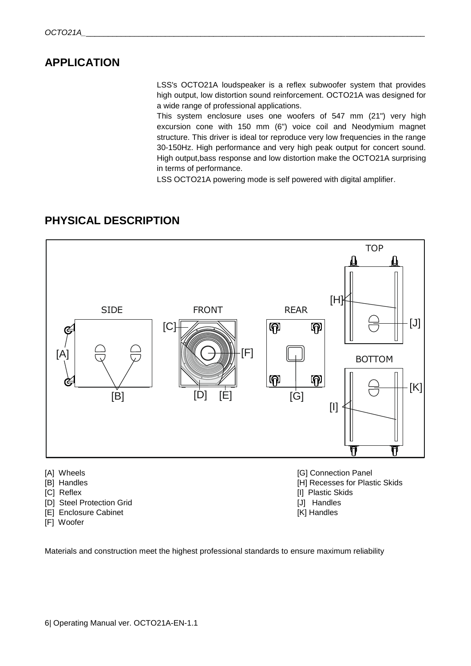## <span id="page-5-0"></span>**APPLICATION**

LSS's OCTO21A loudspeaker is a reflex subwoofer system that provides high output, low distortion sound reinforcement. OCTO21A was designed for a wide range of professional applications.

This system enclosure uses one woofers of 547 mm (21") very high excursion cone with 150 mm (6") voice coil and Neodymium magnet structure. This driver is ideal tor reproduce very low frequencies in the range 30-150Hz. High performance and very high peak output for concert sound. High output,bass response and low distortion make the OCTO21A surprising in terms of performance.

LSS OCTO21A powering mode is self powered with digital amplifier.

## <span id="page-5-1"></span>**PHYSICAL DESCRIPTION**



- 
- [D] Steel Protection Grid [J] Handles
- [E] Enclosure Cabinet [K] Handles
- [F] Woofer
- 
- 
- Materials and construction meet the highest professional standards to ensure maximum reliability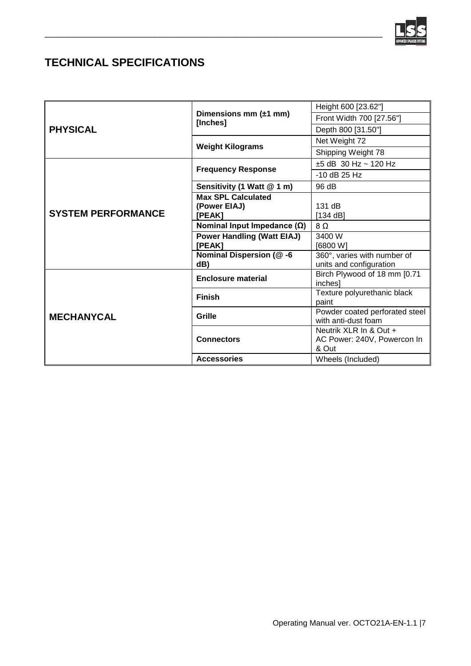

# <span id="page-6-0"></span>**TECHNICAL SPECIFICATIONS**

| <b>PHYSICAL</b>           | Dimensions mm $(\pm 1$ mm)<br>[Inches] | Height 600 [23.62"]                                   |
|---------------------------|----------------------------------------|-------------------------------------------------------|
|                           |                                        | Front Width 700 [27.56"]                              |
|                           |                                        | Depth 800 [31.50"]                                    |
|                           | <b>Weight Kilograms</b>                | Net Weight 72                                         |
|                           |                                        | Shipping Weight 78                                    |
| <b>SYSTEM PERFORMANCE</b> | <b>Frequency Response</b>              | $±5$ dB 30 Hz ~ 120 Hz                                |
|                           |                                        | $-10$ dB 25 Hz                                        |
|                           | Sensitivity (1 Watt @ 1 m)             | 96 dB                                                 |
|                           | <b>Max SPL Calculated</b>              |                                                       |
|                           | (Power EIAJ)                           | 131 dB                                                |
|                           | [PEAK]                                 | [134 dB]                                              |
|                           | Nominal Input Impedance $(\Omega)$     | $8\Omega$                                             |
|                           | <b>Power Handling (Watt EIAJ)</b>      | 3400 W                                                |
|                           | [PEAK]                                 | [6800 W]                                              |
|                           | Nominal Dispersion (@-6                | 360°, varies with number of                           |
|                           | dB)                                    | units and configuration                               |
| <b>MECHANYCAL</b>         | <b>Enclosure material</b>              | Birch Plywood of 18 mm [0.71<br>inches]               |
|                           | <b>Finish</b>                          | Texture polyurethanic black<br>paint                  |
|                           | Grille                                 | Powder coated perforated steel<br>with anti-dust foam |
|                           | <b>Connectors</b>                      | Neutrik XLR In & Out +                                |
|                           |                                        | AC Power: 240V, Powercon In<br>& Out                  |
|                           | <b>Accessories</b>                     | Wheels (Included)                                     |

\_\_\_\_\_\_\_\_\_\_\_\_\_\_\_\_\_\_\_\_\_\_\_\_\_\_\_\_\_\_\_\_\_\_\_\_\_\_\_\_\_\_\_\_\_\_\_\_\_\_\_\_\_\_\_\_\_\_\_\_\_\_\_\_\_\_\_\_\_\_\_\_\_\_\_\_\_\_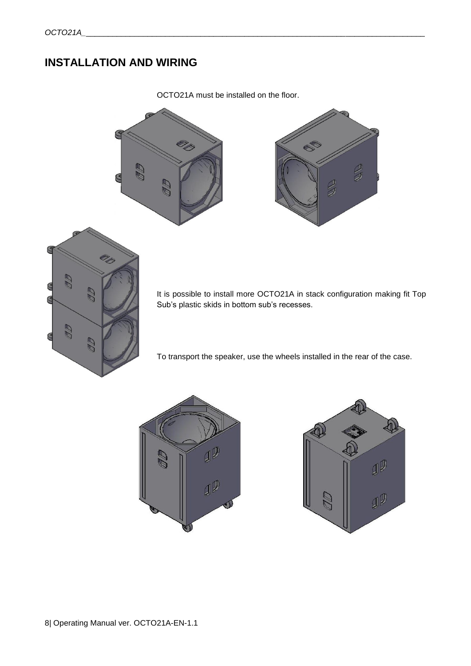# <span id="page-7-0"></span>**INSTALLATION AND WIRING**

OCTO21A must be installed on the floor.





It is possible to install more OCTO21A in stack configuration making fit Top Sub's plastic skids in bottom sub's recesses.

To transport the speaker, use the wheels installed in the rear of the case.



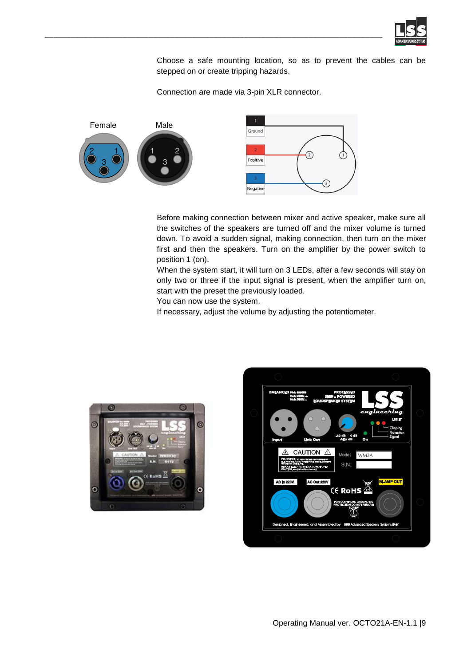

Choose a safe mounting location, so as to prevent the cables can be stepped on or create tripping hazards.

Connection are made via 3-pin XLR connector.



\_\_\_\_\_\_\_\_\_\_\_\_\_\_\_\_\_\_\_\_\_\_\_\_\_\_\_\_\_\_\_\_\_\_\_\_\_\_\_\_\_\_\_\_\_\_\_\_\_\_\_\_\_\_\_\_\_\_\_\_\_\_\_\_\_\_\_\_\_\_\_\_\_\_\_\_\_\_

Before making connection between mixer and active speaker, make sure all the switches of the speakers are turned off and the mixer volume is turned down. To avoid a sudden signal, making connection, then turn on the mixer first and then the speakers. Turn on the amplifier by the power switch to position 1 (on).

When the system start, it will turn on 3 LEDs, after a few seconds will stay on only two or three if the input signal is present, when the amplifier turn on, start with the preset the previously loaded.

You can now use the system.

If necessary, adjust the volume by adjusting the potentiometer.



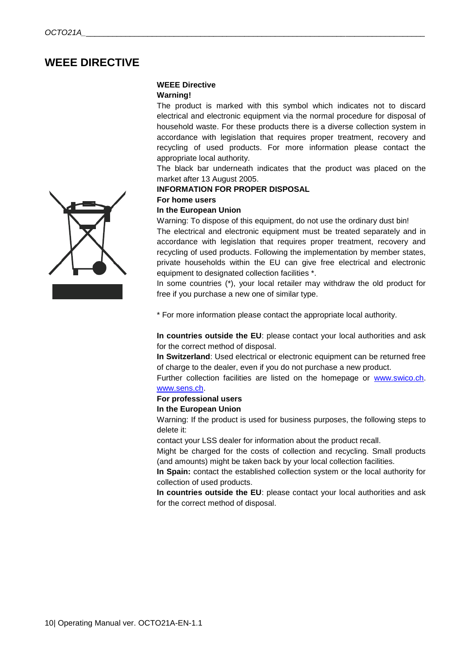## <span id="page-9-0"></span>**WEEE DIRECTIVE**

## **WEEE Directive**

#### **Warning!**

The product is marked with this symbol which indicates not to discard electrical and electronic equipment via the normal procedure for disposal of household waste. For these products there is a diverse collection system in accordance with legislation that requires proper treatment, recovery and recycling of used products. For more information please contact the appropriate local authority.

The black bar underneath indicates that the product was placed on the market after 13 August 2005.

#### **INFORMATION FOR PROPER DISPOSAL**

## **For home users**

### **In the European Union**

Warning: To dispose of this equipment, do not use the ordinary dust bin!

The electrical and electronic equipment must be treated separately and in accordance with legislation that requires proper treatment, recovery and recycling of used products. Following the implementation by member states, private households within the EU can give free electrical and electronic equipment to designated collection facilities \*.

In some countries (\*), your local retailer may withdraw the old product for free if you purchase a new one of similar type.

\* For more information please contact the appropriate local authority.

**In countries outside the EU**: please contact your local authorities and ask for the correct method of disposal.

**In Switzerland**: Used electrical or electronic equipment can be returned free of charge to the dealer, even if you do not purchase a new product.

Further collection facilities are listed on the homepage or [www.swico.ch.](http://www.swico.ch/) [www.sens.ch.](http://www.sens.ch/) 

## **For professional users**

## **In the European Union**

Warning: If the product is used for business purposes, the following steps to delete it:

contact your LSS dealer for information about the product recall.

Might be charged for the costs of collection and recycling. Small products (and amounts) might be taken back by your local collection facilities.

**In Spain:** contact the established collection system or the local authority for collection of used products.

<span id="page-9-1"></span>**In countries outside the EU**: please contact your local authorities and ask for the correct method of disposal.

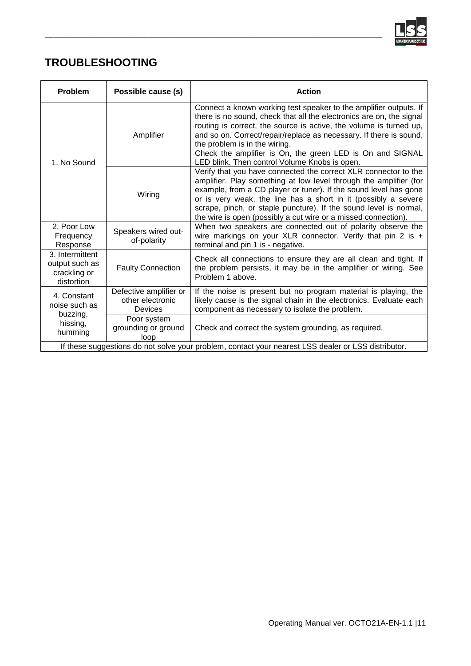

## **TROUBLESHOOTING**

| Problem                                                                                             | Possible cause (s)                                    | <b>Action</b>                                                                                                                                                                                                                                                                                                                                                                                                                        |  |
|-----------------------------------------------------------------------------------------------------|-------------------------------------------------------|--------------------------------------------------------------------------------------------------------------------------------------------------------------------------------------------------------------------------------------------------------------------------------------------------------------------------------------------------------------------------------------------------------------------------------------|--|
| 1. No Sound                                                                                         | Amplifier                                             | Connect a known working test speaker to the amplifier outputs. If<br>there is no sound, check that all the electronics are on, the signal<br>routing is correct, the source is active, the volume is turned up,<br>and so on. Correct/repair/replace as necessary. If there is sound,<br>the problem is in the wiring.<br>Check the amplifier is On, the green LED is On and SIGNAL<br>LED blink. Then control Volume Knobs is open. |  |
|                                                                                                     | Wiring                                                | Verify that you have connected the correct XLR connector to the<br>amplifier. Play something at low level through the amplifier (for<br>example, from a CD player or tuner). If the sound level has gone<br>or is very weak, the line has a short in it (possibly a severe<br>scrape, pinch, or staple puncture). If the sound level is normal,<br>the wire is open (possibly a cut wire or a missed connection).                    |  |
| 2. Poor Low<br>Frequency<br>Response                                                                | Speakers wired out-<br>of-polarity                    | When two speakers are connected out of polarity observe the<br>wire markings on your XLR connector. Verify that pin 2 is $+$<br>terminal and pin 1 is - negative.                                                                                                                                                                                                                                                                    |  |
| 3. Intermittent<br>output such as<br>crackling or<br>distortion                                     | <b>Faulty Connection</b>                              | Check all connections to ensure they are all clean and tight. If<br>the problem persists, it may be in the amplifier or wiring. See<br>Problem 1 above.                                                                                                                                                                                                                                                                              |  |
| 4. Constant<br>noise such as<br>buzzing,<br>hissing,<br>humming                                     | Defective amplifier or<br>other electronic<br>Devices | If the noise is present but no program material is playing, the<br>likely cause is the signal chain in the electronics. Evaluate each<br>component as necessary to isolate the problem.                                                                                                                                                                                                                                              |  |
|                                                                                                     | Poor system<br>grounding or ground<br>loop            | Check and correct the system grounding, as required.                                                                                                                                                                                                                                                                                                                                                                                 |  |
| If these suggestions do not solve your problem, contact your nearest LSS dealer or LSS distributor. |                                                       |                                                                                                                                                                                                                                                                                                                                                                                                                                      |  |

\_\_\_\_\_\_\_\_\_\_\_\_\_\_\_\_\_\_\_\_\_\_\_\_\_\_\_\_\_\_\_\_\_\_\_\_\_\_\_\_\_\_\_\_\_\_\_\_\_\_\_\_\_\_\_\_\_\_\_\_\_\_\_\_\_\_\_\_\_\_\_\_\_\_\_\_\_\_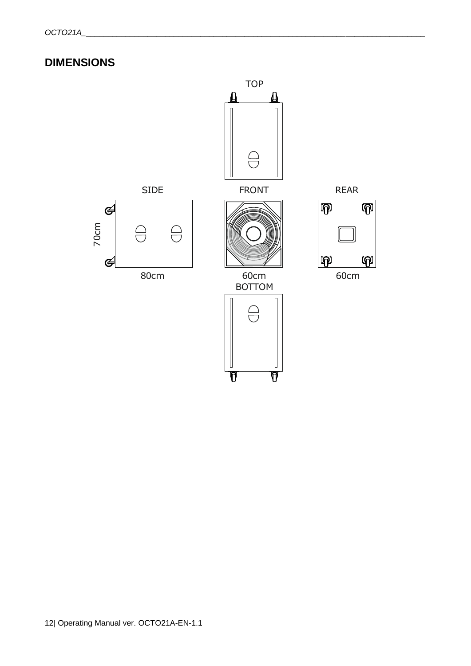# **DIMENSIONS**

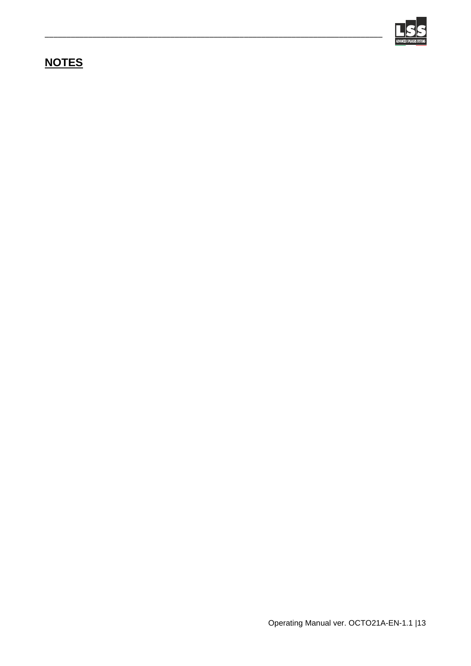

# <span id="page-12-0"></span>**NOTES**

\_\_\_\_\_\_\_\_\_\_\_\_\_\_\_\_\_\_\_\_\_\_\_\_\_\_\_\_\_\_\_\_\_\_\_\_\_\_\_\_\_\_\_\_\_\_\_\_\_\_\_\_\_\_\_\_\_\_\_\_\_\_\_\_\_\_\_\_\_\_\_\_\_\_\_\_\_\_